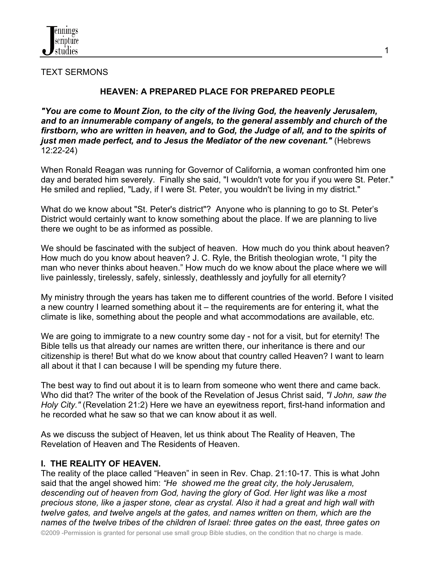

#### TEXT SERMONS

# **HEAVEN: A PREPARED PLACE FOR PREPARED PEOPLE**

*"You are come to Mount Zion, to the city of the living God, the heavenly Jerusalem, and to an innumerable company of angels, to the general assembly and church of the firstborn, who are written in heaven, and to God, the Judge of all, and to the spirits of just men made perfect, and to Jesus the Mediator of the new covenant."* (Hebrews 12:22-24)

When Ronald Reagan was running for Governor of California, a woman confronted him one day and berated him severely. Finally she said, "I wouldn't vote for you if you were St. Peter." He smiled and replied, "Lady, if I were St. Peter, you wouldn't be living in my district."

What do we know about "St. Peter's district"? Anyone who is planning to go to St. Peter's District would certainly want to know something about the place. If we are planning to live there we ought to be as informed as possible.

We should be fascinated with the subject of heaven. How much do you think about heaven? How much do you know about heaven? J. C. Ryle, the British theologian wrote, "I pity the man who never thinks about heaven." How much do we know about the place where we will live painlessly, tirelessly, safely, sinlessly, deathlessly and joyfully for all eternity?

My ministry through the years has taken me to different countries of the world. Before I visited a new country I learned something about it – the requirements are for entering it, what the climate is like, something about the people and what accommodations are available, etc.

We are going to immigrate to a new country some day - not for a visit, but for eternity! The Bible tells us that already our names are written there, our inheritance is there and our citizenship is there! But what do we know about that country called Heaven? I want to learn all about it that I can because I will be spending my future there.

The best way to find out about it is to learn from someone who went there and came back. Who did that? The writer of the book of the Revelation of Jesus Christ said, *"I John, saw the Holy City."* (Revelation 21:2) Here we have an eyewitness report, first-hand information and he recorded what he saw so that we can know about it as well.

As we discuss the subject of Heaven, let us think about The Reality of Heaven, The Revelation of Heaven and The Residents of Heaven.

#### **I. THE REALITY OF HEAVEN.**

The reality of the place called "Heaven" in seen in Rev. Chap. 21:10-17. This is what John said that the angel showed him: *"He showed me the great city, the holy Jerusalem, descending out of heaven from God, having the glory of God. Her light was like a most precious stone, like a jasper stone, clear as crystal. Also it had a great and high wall with twelve gates, and twelve angels at the gates, and names written on them, which are the names of the twelve tribes of the children of Israel: three gates on the east, three gates on* 

©2009 -Permission is granted for personal use small group Bible studies, on the condition that no charge is made.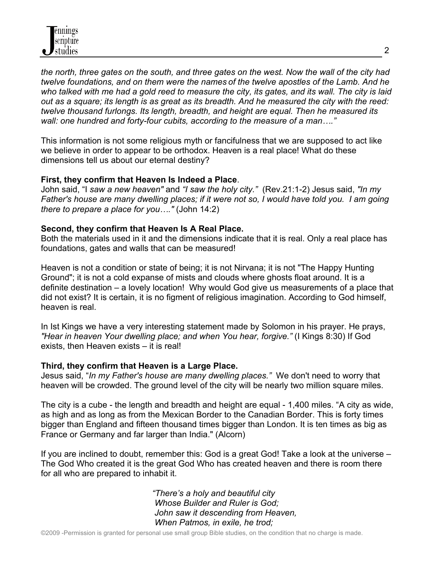*the north, three gates on the south, and three gates on the west. Now the wall of the city had twelve foundations, and on them were the names of the twelve apostles of the Lamb. And he who talked with me had a gold reed to measure the city, its gates, and its wall. The city is laid out as a square; its length is as great as its breadth. And he measured the city with the reed: twelve thousand furlongs. Its length, breadth, and height are equal. Then he measured its wall: one hundred and forty-four cubits, according to the measure of a man…."*

This information is not some religious myth or fancifulness that we are supposed to act like we believe in order to appear to be orthodox. Heaven is a real place! What do these dimensions tell us about our eternal destiny?

## **First, they confirm that Heaven Is Indeed a Place**.

John said, "I *saw a new heaven"* and *"I saw the holy city."* (Rev.21:1-2) Jesus said, *"In my Father's house are many dwelling places; if it were not so, I would have told you. I am going there to prepare a place for you…."* (John 14:2)

## **Second, they confirm that Heaven Is A Real Place.**

Both the materials used in it and the dimensions indicate that it is real. Only a real place has foundations, gates and walls that can be measured!

Heaven is not a condition or state of being; it is not Nirvana; it is not "The Happy Hunting Ground"; it is not a cold expanse of mists and clouds where ghosts float around. It is a definite destination – a lovely location! Why would God give us measurements of a place that did not exist? It is certain, it is no figment of religious imagination. According to God himself, heaven is real.

In Ist Kings we have a very interesting statement made by Solomon in his prayer. He prays, *"Hear in heaven Your dwelling place; and when You hear, forgive."* (I Kings 8:30) If God exists, then Heaven exists – it is real!

# **Third, they confirm that Heaven is a Large Place.**

Jesus said, "*In my Father's house are many dwelling places."* We don't need to worry that heaven will be crowded. The ground level of the city will be nearly two million square miles.

The city is a cube - the length and breadth and height are equal - 1,400 miles. "A city as wide, as high and as long as from the Mexican Border to the Canadian Border. This is forty times bigger than England and fifteen thousand times bigger than London. It is ten times as big as France or Germany and far larger than India." (Alcorn)

If you are inclined to doubt, remember this: God is a great God! Take a look at the universe – The God Who created it is the great God Who has created heaven and there is room there for all who are prepared to inhabit it.

> *"There's a holy and beautiful city Whose Builder and Ruler is God; John saw it descending from Heaven, When Patmos, in exile, he trod;*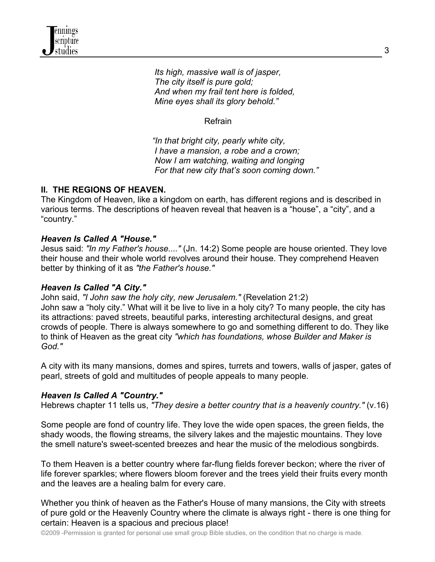*Its high, massive wall is of jasper, The city itself is pure gold; And when my frail tent here is folded, Mine eyes shall its glory behold."*

Refrain

 *"In that bright city, pearly white city, I have a mansion, a robe and a crown; Now I am watching, waiting and longing For that new city that's soon coming down."*

# **II***.* **THE REGIONS OF HEAVEN.**

The Kingdom of Heaven, like a kingdom on earth, has different regions and is described in various terms. The descriptions of heaven reveal that heaven is a "house", a "city", and a "country."

# *Heaven Is Called A "House."*

Jesus said: *"In my Father's house...."* (Jn. 14:2) Some people are house oriented. They love their house and their whole world revolves around their house. They comprehend Heaven better by thinking of it as *"the Father's house."*

# *Heaven Is Called "A City."*

John said, *"I John saw the holy city, new Jerusalem."* (Revelation 21:2) John saw a "holy city." What will it be live to live in a holy city? To many people, the city has its attractions: paved streets, beautiful parks, interesting architectural designs, and great crowds of people. There is always somewhere to go and something different to do. They like to think of Heaven as the great city *"which has foundations, whose Builder and Maker is God."*

A city with its many mansions, domes and spires, turrets and towers, walls of jasper, gates of pearl, streets of gold and multitudes of people appeals to many people.

# *Heaven Is Called A "Country."*

Hebrews chapter 11 tells us, *"They desire a better country that is a heavenly country."* (v.16)

Some people are fond of country life. They love the wide open spaces, the green fields, the shady woods, the flowing streams, the silvery lakes and the majestic mountains. They love the smell nature's sweet-scented breezes and hear the music of the melodious songbirds.

To them Heaven is a better country where far-flung fields forever beckon; where the river of life forever sparkles; where flowers bloom forever and the trees yield their fruits every month and the leaves are a healing balm for every care.

Whether you think of heaven as the Father's House of many mansions, the City with streets of pure gold or the Heavenly Country where the climate is always right - there is one thing for certain: Heaven is a spacious and precious place!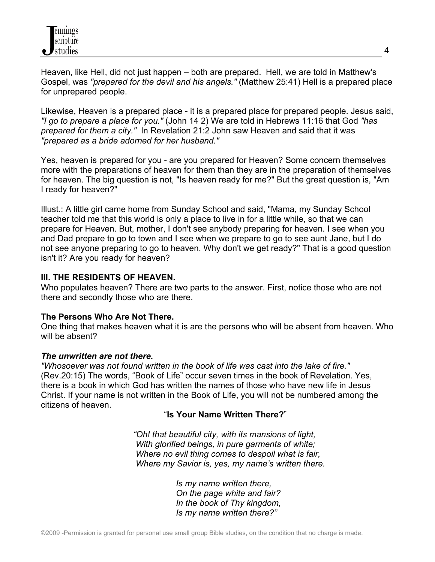Heaven, like Hell, did not just happen – both are prepared. Hell, we are told in Matthew's Gospel, was *"prepared for the devil and his angels."* (Matthew 25:41) Hell is a prepared place for unprepared people.

Likewise, Heaven is a prepared place - it is a prepared place for prepared people. Jesus said, *"I go to prepare a place for you."* (John 14 2) We are told in Hebrews 11:16 that God *"has prepared for them a city."* In Revelation 21:2 John saw Heaven and said that it was *"prepared as a bride adorned for her husband."* 

Yes, heaven is prepared for you - are you prepared for Heaven? Some concern themselves more with the preparations of heaven for them than they are in the preparation of themselves for heaven. The big question is not, "Is heaven ready for me?" But the great question is, "Am I ready for heaven?"

Illust.: A little girl came home from Sunday School and said, "Mama, my Sunday School teacher told me that this world is only a place to live in for a little while, so that we can prepare for Heaven. But, mother, I don't see anybody preparing for heaven. I see when you and Dad prepare to go to town and I see when we prepare to go to see aunt Jane, but I do not see anyone preparing to go to heaven. Why don't we get ready?" That is a good question isn't it? Are you ready for heaven?

## **III. THE RESIDENTS OF HEAVEN.**

Who populates heaven? There are two parts to the answer. First, notice those who are not there and secondly those who are there.

#### **The Persons Who Are Not There.**

One thing that makes heaven what it is are the persons who will be absent from heaven. Who will be absent?

#### *The unwritten are not there.*

*"Whosoever was not found written in the book of life was cast into the lake of fire."* (Rev.20:15) The words, "Book of Life" occur seven times in the book of Revelation. Yes, there is a book in which God has written the names of those who have new life in Jesus Christ. If your name is not written in the Book of Life, you will not be numbered among the citizens of heaven.

# "**Is Your Name Written There?**"

 *"Oh! that beautiful city, with its mansions of light, With glorified beings, in pure garments of white; Where no evil thing comes to despoil what is fair, Where my Savior is, yes, my name's written there.* 

> *Is my name written there, On the page white and fair? In the book of Thy kingdom, Is my name written there?"*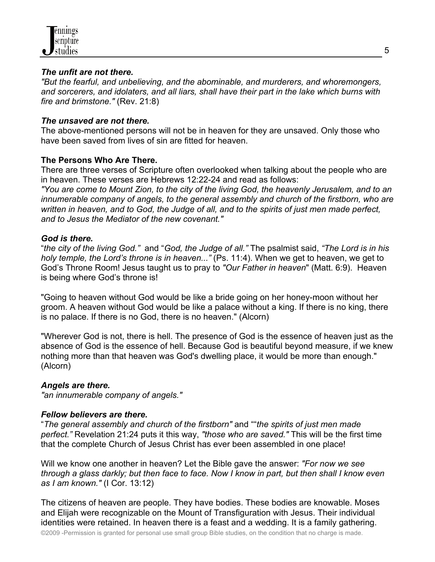### *The unfit are not there.*

*"But the fearful, and unbelieving, and the abominable, and murderers, and whoremongers, and sorcerers, and idolaters, and all liars, shall have their part in the lake which burns with fire and brimstone."* (Rev. 21:8)

## *The unsaved are not there.*

The above-mentioned persons will not be in heaven for they are unsaved. Only those who have been saved from lives of sin are fitted for heaven.

# **The Persons Who Are There.**

There are three verses of Scripture often overlooked when talking about the people who are in heaven. These verses are Hebrews 12:22-24 and read as follows:

*"You are come to Mount Zion, to the city of the living God, the heavenly Jerusalem, and to an innumerable company of angels, to the general assembly and church of the firstborn, who are written in heaven, and to God, the Judge of all, and to the spirits of just men made perfect, and to Jesus the Mediator of the new covenant."*

## *God is there.*

"*the city of the living God."* and "*God, the Judge of all."* The psalmist said, *"The Lord is in his holy temple, the Lord's throne is in heaven..."* (Ps. 11:4). When we get to heaven, we get to God's Throne Room! Jesus taught us to pray to *"Our Father in heaven*" (Matt. 6:9). Heaven is being where God's throne is!

"Going to heaven without God would be like a bride going on her honey-moon without her groom. A heaven without God would be like a palace without a king. If there is no king, there is no palace. If there is no God, there is no heaven." (Alcorn)

"Wherever God is not, there is hell. The presence of God is the essence of heaven just as the absence of God is the essence of hell. Because God is beautiful beyond measure, if we knew nothing more than that heaven was God's dwelling place, it would be more than enough." (Alcorn)

# *Angels are there.*

*"an innumerable company of angels."* 

#### *Fellow believers are there.*

"*The general assembly and church of the firstborn"* and ""*the spirits of just men made perfect."* Revelation 21:24 puts it this way, *"those who are saved."* This will be the first time that the complete Church of Jesus Christ has ever been assembled in one place!

Will we know one another in heaven? Let the Bible gave the answer: *"For now we see through a glass darkly; but then face to face. Now I know in part, but then shall I know even as I am known."* (I Cor. 13:12)

The citizens of heaven are people. They have bodies. These bodies are knowable. Moses and Elijah were recognizable on the Mount of Transfiguration with Jesus. Their individual identities were retained. In heaven there is a feast and a wedding. It is a family gathering.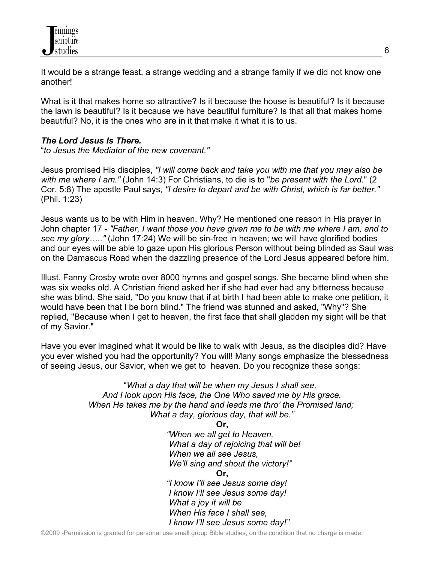It would be a strange feast, a strange wedding and a strange family if we did not know one another!

What is it that makes home so attractive? Is it because the house is beautiful? Is it because the lawn is beautiful? Is it because we have beautiful furniture? Is that all that makes home beautiful? No, it is the ones who are in it that make it what it is to us.

## *The Lord Jesus Is There.*

"*to Jesus the Mediator of the new covenant."*

Jesus promised His disciples, *"I will come back and take you with me that you may also be with me where I am."* (John 14:3) For Christians, to die is to "*be present with the Lord*." (2 Cor. 5:8) The apostle Paul says, *"I desire to depart and be with Christ, which is far better."* (Phil. 1:23)

Jesus wants us to be with Him in heaven. Why? He mentioned one reason in His prayer in John chapter 17 - *"Father, I want those you have given me to be with me where I am, and to see my glory….."* (John 17:24) We will be sin-free in heaven; we will have glorified bodies and our eyes will be able to gaze upon His glorious Person without being blinded as Saul was on the Damascus Road when the dazzling presence of the Lord Jesus appeared before him.

Illust. Fanny Crosby wrote over 8000 hymns and gospel songs. She became blind when she was six weeks old. A Christian friend asked her if she had ever had any bitterness because she was blind. She said, "Do you know that if at birth I had been able to make one petition, it would have been that I be born blind." The friend was stunned and asked, "Why"? She replied, "Because when I get to heaven, the first face that shall gladden my sight will be that of my Savior."

Have you ever imagined what it would be like to walk with Jesus, as the disciples did? Have you ever wished you had the opportunity? You will! Many songs emphasize the blessedness of seeing Jesus, our Savior, when we get to heaven. Do you recognize these songs:

> "*What a day that will be when my Jesus I shall see, And I look upon His face, the One Who saved me by His grace. When He takes me by the hand and leads me thro' the Promised land; What a day, glorious day, that will be."*

*<u> Or,</u>* 

 *"When we all get to Heaven, What a day of rejoicing that will be! When we all see Jesus, We'll sing and shout the victory!" <u> Or,</u> "I know I'll see Jesus some day! I know I'll see Jesus some day! What a joy it will be When His face I shall see,*

# *I know I'll see Jesus some day!"*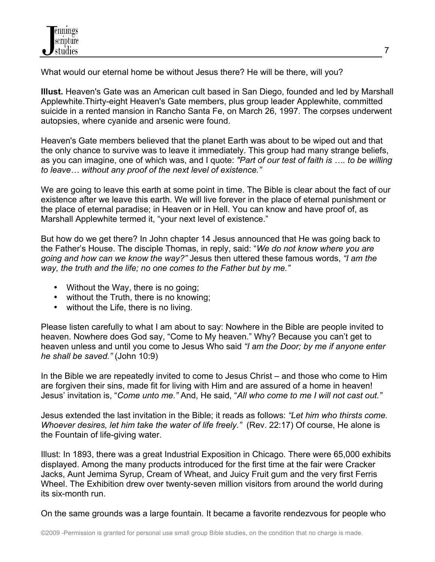What would our eternal home be without Jesus there? He will be there, will you?

**Illust.** Heaven's Gate was an American cult based in San Diego, founded and led by Marshall Applewhite.Thirty-eight Heaven's Gate members, plus group leader Applewhite, committed suicide in a rented mansion in Rancho Santa Fe, on March 26, 1997. The corpses underwent autopsies, where cyanide and arsenic were found.

Heaven's Gate members believed that the planet Earth was about to be wiped out and that the only chance to survive was to leave it immediately. This group had many strange beliefs, as you can imagine, one of which was, and I quote: *"Part of our test of faith is …. to be willing to leave… without any proof of the next level of existence."*

We are going to leave this earth at some point in time. The Bible is clear about the fact of our existence after we leave this earth. We will live forever in the place of eternal punishment or the place of eternal paradise; in Heaven or in Hell. You can know and have proof of, as Marshall Applewhite termed it, "your next level of existence."

But how do we get there? In John chapter 14 Jesus announced that He was going back to the Father's House. The disciple Thomas, in reply, said: "*We do not know where you are going and how can we know the way?"* Jesus then uttered these famous words, *"I am the way, the truth and the life; no one comes to the Father but by me."*

- Without the Way, there is no going;
- without the Truth, there is no knowing;
- without the Life, there is no living.

Please listen carefully to what I am about to say: Nowhere in the Bible are people invited to heaven. Nowhere does God say, "Come to My heaven." Why? Because you can't get to heaven unless and until you come to Jesus Who said *"I am the Door; by me if anyone enter he shall be saved."* (John 10:9)

In the Bible we are repeatedly invited to come to Jesus Christ – and those who come to Him are forgiven their sins, made fit for living with Him and are assured of a home in heaven! Jesus' invitation is, "*Come unto me."* And, He said, "*All who come to me I will not cast out."*

Jesus extended the last invitation in the Bible; it reads as follows: *"Let him who thirsts come. Whoever desires, let him take the water of life freely."* (Rev. 22:17) Of course, He alone is the Fountain of life-giving water.

Illust: In 1893, there was a great Industrial Exposition in Chicago. There were 65,000 exhibits displayed. Among the many products introduced for the first time at the fair were Cracker Jacks, Aunt Jemima Syrup, Cream of Wheat, and Juicy Fruit gum and the very first Ferris Wheel. The Exhibition drew over twenty-seven million visitors from around the world during its six-month run.

On the same grounds was a large fountain. It became a favorite rendezvous for people who